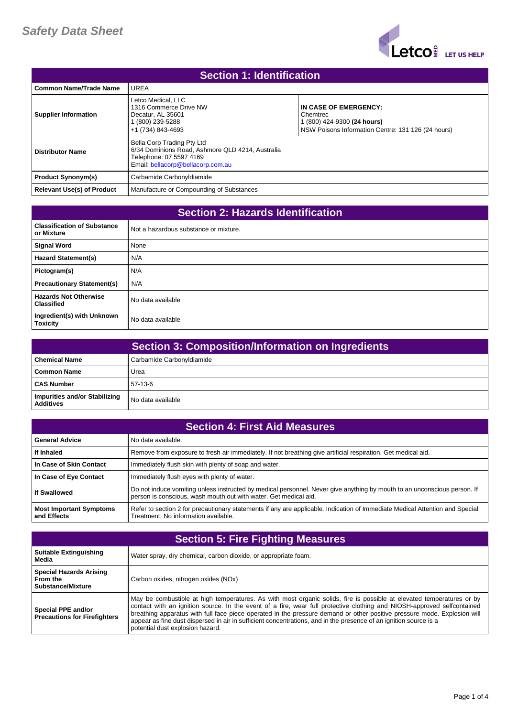

| <b>Section 1: Identification</b>  |                                                                                                                                                |                                                                                                                        |
|-----------------------------------|------------------------------------------------------------------------------------------------------------------------------------------------|------------------------------------------------------------------------------------------------------------------------|
| <b>Common Name/Trade Name</b>     | UREA                                                                                                                                           |                                                                                                                        |
| <b>Supplier Information</b>       | Letco Medical, LLC<br>1316 Commerce Drive NW<br>Decatur. AL 35601<br>(800) 239-5288<br>+1 (734) 843-4693                                       | IN CASE OF EMERGENCY:<br>Chemtrec<br>1 (800) 424-9300 (24 hours)<br>NSW Poisons Information Centre: 131 126 (24 hours) |
| <b>Distributor Name</b>           | Bella Corp Trading Pty Ltd<br>6/34 Dominions Road, Ashmore QLD 4214, Australia<br>Telephone: 07 5597 4169<br>Email: bellacorp@bellacorp.com.au |                                                                                                                        |
| <b>Product Synonym(s)</b>         | Carbamide Carbonyldiamide                                                                                                                      |                                                                                                                        |
| <b>Relevant Use(s) of Product</b> | Manufacture or Compounding of Substances                                                                                                       |                                                                                                                        |

| <b>Section 2: Hazards Identification</b>          |                                       |
|---------------------------------------------------|---------------------------------------|
| <b>Classification of Substance</b><br>or Mixture  | Not a hazardous substance or mixture. |
| <b>Signal Word</b>                                | None                                  |
| <b>Hazard Statement(s)</b>                        | N/A                                   |
| Pictogram(s)                                      | N/A                                   |
| <b>Precautionary Statement(s)</b>                 | N/A                                   |
| <b>Hazards Not Otherwise</b><br><b>Classified</b> | No data available                     |
| Ingredient(s) with Unknown<br><b>Toxicity</b>     | No data available                     |

|                                                   | <b>Section 3: Composition/Information on Ingredients</b> |
|---------------------------------------------------|----------------------------------------------------------|
| <b>Chemical Name</b>                              | Carbamide Carbonyldiamide                                |
| <b>Common Name</b>                                | Urea                                                     |
| l CAS Number                                      | $57-13-6$                                                |
| Impurities and/or Stabilizing<br><b>Additives</b> | No data available                                        |

| <b>Section 4: First Aid Measures</b>          |                                                                                                                                                                                              |
|-----------------------------------------------|----------------------------------------------------------------------------------------------------------------------------------------------------------------------------------------------|
| <b>General Advice</b>                         | No data available.                                                                                                                                                                           |
| If Inhaled                                    | Remove from exposure to fresh air immediately. If not breathing give artificial respiration. Get medical aid.                                                                                |
| In Case of Skin Contact                       | Immediately flush skin with plenty of soap and water.                                                                                                                                        |
| In Case of Eye Contact                        | Immediately flush eyes with plenty of water.                                                                                                                                                 |
| <b>If Swallowed</b>                           | Do not induce vomiting unless instructed by medical personnel. Never give anything by mouth to an unconscious person. If<br>person is conscious, wash mouth out with water. Get medical aid. |
| <b>Most Important Symptoms</b><br>and Effects | Refer to section 2 for precautionary statements if any are applicable. Indication of Immediate Medical Attention and Special<br>Treatment: No information available.                         |

| <b>Section 5: Fire Fighting Measures</b>                               |                                                                                                                                                                                                                                                                                                                                                                                                                                                                                                                                       |
|------------------------------------------------------------------------|---------------------------------------------------------------------------------------------------------------------------------------------------------------------------------------------------------------------------------------------------------------------------------------------------------------------------------------------------------------------------------------------------------------------------------------------------------------------------------------------------------------------------------------|
| <b>Suitable Extinguishing</b><br>Media                                 | Water spray, dry chemical, carbon dioxide, or appropriate foam.                                                                                                                                                                                                                                                                                                                                                                                                                                                                       |
| <b>Special Hazards Arising</b><br>From the<br><b>Substance/Mixture</b> | Carbon oxides, nitrogen oxides (NOx)                                                                                                                                                                                                                                                                                                                                                                                                                                                                                                  |
| Special PPE and/or<br><b>Precautions for Firefighters</b>              | May be combustible at high temperatures. As with most organic solids, fire is possible at elevated temperatures or by<br>contact with an ignition source. In the event of a fire, wear full protective clothing and NIOSH-approved selfcontained<br>breathing apparatus with full face piece operated in the pressure demand or other positive pressure mode. Explosion will<br>appear as fine dust dispersed in air in sufficient concentrations, and in the presence of an ignition source is a<br>potential dust explosion hazard. |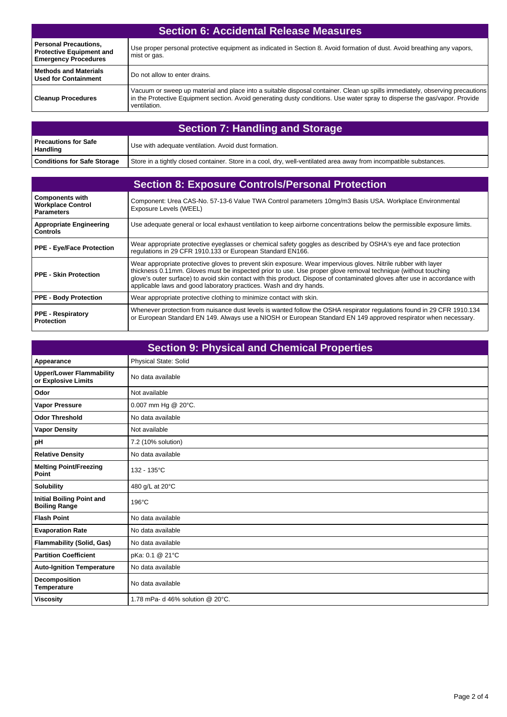| <b>Section 6: Accidental Release Measures</b>                                                  |                                                                                                                                                                                                                                                                            |
|------------------------------------------------------------------------------------------------|----------------------------------------------------------------------------------------------------------------------------------------------------------------------------------------------------------------------------------------------------------------------------|
| <b>Personal Precautions,</b><br><b>Protective Equipment and</b><br><b>Emergency Procedures</b> | Use proper personal protective equipment as indicated in Section 8. Avoid formation of dust. Avoid breathing any vapors,<br>mist or gas.                                                                                                                                   |
| <b>Methods and Materials</b><br><b>Used for Containment</b>                                    | Do not allow to enter drains.                                                                                                                                                                                                                                              |
| <b>Cleanup Procedures</b>                                                                      | Vacuum or sweep up material and place into a suitable disposal container. Clean up spills immediately, observing precautions<br>in the Protective Equipment section. Avoid generating dusty conditions. Use water spray to disperse the gas/vapor. Provide<br>ventilation. |

| <b>Section 7: Handling and Storage</b>  |                                                                                                                    |
|-----------------------------------------|--------------------------------------------------------------------------------------------------------------------|
| <b>Precautions for Safe</b><br>Handling | Use with adequate ventilation. Avoid dust formation.                                                               |
| <b>Conditions for Safe Storage</b>      | Store in a tightly closed container. Store in a cool, dry, well-ventilated area away from incompatible substances. |

| <b>Section 8: Exposure Controls/Personal Protection</b>                 |                                                                                                                                                                                                                                                                                                                                                                                                                                      |
|-------------------------------------------------------------------------|--------------------------------------------------------------------------------------------------------------------------------------------------------------------------------------------------------------------------------------------------------------------------------------------------------------------------------------------------------------------------------------------------------------------------------------|
| <b>Components with</b><br><b>Workplace Control</b><br><b>Parameters</b> | Component: Urea CAS-No. 57-13-6 Value TWA Control parameters 10mg/m3 Basis USA. Workplace Environmental<br>Exposure Levels (WEEL)                                                                                                                                                                                                                                                                                                    |
| <b>Appropriate Engineering</b><br><b>Controls</b>                       | Use adequate general or local exhaust ventilation to keep airborne concentrations below the permissible exposure limits.                                                                                                                                                                                                                                                                                                             |
| <b>PPE - Eye/Face Protection</b>                                        | Wear appropriate protective eyeglasses or chemical safety goggles as described by OSHA's eye and face protection<br>regulations in 29 CFR 1910.133 or European Standard EN166.                                                                                                                                                                                                                                                       |
| <b>PPE - Skin Protection</b>                                            | Wear appropriate protective gloves to prevent skin exposure. Wear impervious gloves. Nitrile rubber with layer<br>thickness 0.11mm. Gloves must be inspected prior to use. Use proper glove removal technique (without touching<br>glove's outer surface) to avoid skin contact with this product. Dispose of contaminated gloves after use in accordance with<br>applicable laws and good laboratory practices. Wash and dry hands. |
| <b>PPE - Body Protection</b>                                            | Wear appropriate protective clothing to minimize contact with skin.                                                                                                                                                                                                                                                                                                                                                                  |
| <b>PPE - Respiratory</b><br><b>Protection</b>                           | Whenever protection from nuisance dust levels is wanted follow the OSHA respirator regulations found in 29 CFR 1910.134<br>or European Standard EN 149. Always use a NIOSH or European Standard EN 149 approved respirator when necessary.                                                                                                                                                                                           |

| <b>Section 9: Physical and Chemical Properties</b>       |                                  |
|----------------------------------------------------------|----------------------------------|
| Appearance                                               | Physical State: Solid            |
| <b>Upper/Lower Flammability</b><br>or Explosive Limits   | No data available                |
| Odor                                                     | Not available                    |
| <b>Vapor Pressure</b>                                    | 0.007 mm Hg @ 20°C.              |
| <b>Odor Threshold</b>                                    | No data available                |
| <b>Vapor Density</b>                                     | Not available                    |
| pH                                                       | 7.2 (10% solution)               |
| <b>Relative Density</b>                                  | No data available                |
| <b>Melting Point/Freezing</b><br>Point                   | 132 - 135°C                      |
| <b>Solubility</b>                                        | 480 g/L at 20°C                  |
| <b>Initial Boiling Point and</b><br><b>Boiling Range</b> | $196^{\circ}$ C                  |
| <b>Flash Point</b>                                       | No data available                |
| <b>Evaporation Rate</b>                                  | No data available                |
| <b>Flammability (Solid, Gas)</b>                         | No data available                |
| <b>Partition Coefficient</b>                             | pKa: 0.1 @ 21°C                  |
| <b>Auto-Ignition Temperature</b>                         | No data available                |
| Decomposition<br>Temperature                             | No data available                |
| <b>Viscosity</b>                                         | 1.78 mPa- d 46% solution @ 20°C. |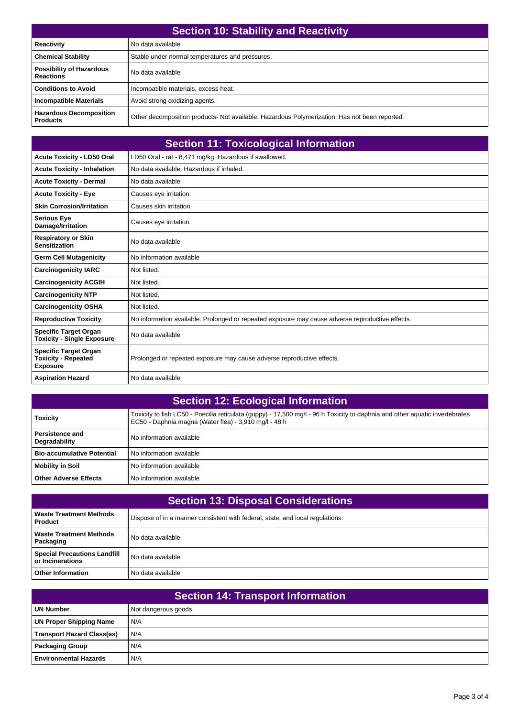| <b>Section 10: Stability and Reactivity</b>         |                                                                                               |
|-----------------------------------------------------|-----------------------------------------------------------------------------------------------|
| <b>Reactivity</b>                                   | No data available                                                                             |
| <b>Chemical Stability</b>                           | Stable under normal temperatures and pressures.                                               |
| <b>Possibility of Hazardous</b><br><b>Reactions</b> | No data available                                                                             |
| <b>Conditions to Avoid</b>                          | Incompatible materials, excess heat.                                                          |
| <b>Incompatible Materials</b>                       | Avoid strong oxidizing agents.                                                                |
| <b>Hazardous Decomposition</b><br><b>Products</b>   | Other decomposition products- Not available. Hazardous Polymerization: Has not been reported. |

|                                                                               | <b>Section 11: Toxicological Information</b>                                                     |
|-------------------------------------------------------------------------------|--------------------------------------------------------------------------------------------------|
| <b>Acute Toxicity - LD50 Oral</b>                                             | LD50 Oral - rat - 8,471 mg/kg. Hazardous if swallowed.                                           |
| <b>Acute Toxicity - Inhalation</b>                                            | No data available. Hazardous if inhaled.                                                         |
| <b>Acute Toxicity - Dermal</b>                                                | No data available                                                                                |
| <b>Acute Toxicity - Eye</b>                                                   | Causes eye irritation.                                                                           |
| <b>Skin Corrosion/Irritation</b>                                              | Causes skin irritation.                                                                          |
| <b>Serious Eye</b><br>Damage/Irritation                                       | Causes eye irritation.                                                                           |
| <b>Respiratory or Skin</b><br><b>Sensitization</b>                            | No data available                                                                                |
| <b>Germ Cell Mutagenicity</b>                                                 | No information available                                                                         |
| <b>Carcinogenicity IARC</b>                                                   | Not listed.                                                                                      |
| <b>Carcinogenicity ACGIH</b>                                                  | Not listed.                                                                                      |
| <b>Carcinogenicity NTP</b>                                                    | Not listed.                                                                                      |
| <b>Carcinogenicity OSHA</b>                                                   | Not listed.                                                                                      |
| <b>Reproductive Toxicity</b>                                                  | No information available. Prolonged or repeated exposure may cause adverse reproductive effects. |
| <b>Specific Target Organ</b><br><b>Toxicity - Single Exposure</b>             | No data available                                                                                |
| <b>Specific Target Organ</b><br><b>Toxicity - Repeated</b><br><b>Exposure</b> | Prolonged or repeated exposure may cause adverse reproductive effects.                           |
| <b>Aspiration Hazard</b>                                                      | No data available                                                                                |

| <b>Section 12: Ecological Information</b> |                                                                                                                                                                                       |
|-------------------------------------------|---------------------------------------------------------------------------------------------------------------------------------------------------------------------------------------|
| <b>Toxicity</b>                           | Toxicity to fish LC50 - Poecilia reticulata (quppy) - 17,500 mg/l - 96 h Toxicity to daphnia and other aquatic invertebrates<br>EC50 - Daphnia magna (Water flea) - 3,910 mg/l - 48 h |
| <b>Persistence and</b><br>Degradability   | No information available                                                                                                                                                              |
| <b>Bio-accumulative Potential</b>         | No information available                                                                                                                                                              |
| <b>Mobility in Soil</b>                   | No information available                                                                                                                                                              |
| <b>Other Adverse Effects</b>              | No information available                                                                                                                                                              |

| <b>Section 13: Disposal Considerations</b>              |                                                                               |  |
|---------------------------------------------------------|-------------------------------------------------------------------------------|--|
| <b>Waste Treatment Methods</b><br><b>Product</b>        | Dispose of in a manner consistent with federal, state, and local regulations. |  |
| <b>Waste Treatment Methods</b><br>Packaging             | No data available                                                             |  |
| <b>Special Precautions Landfill</b><br>or Incinerations | No data available                                                             |  |
| <b>Other Information</b>                                | No data available                                                             |  |

| <b>Section 14: Transport Information</b> |                      |  |
|------------------------------------------|----------------------|--|
| <b>UN Number</b>                         | Not dangerous goods. |  |
| <b>UN Proper Shipping Name</b>           | N/A                  |  |
| <b>Transport Hazard Class(es)</b>        | N/A                  |  |
| <b>Packaging Group</b>                   | N/A                  |  |
| <b>Environmental Hazards</b>             | N/A                  |  |